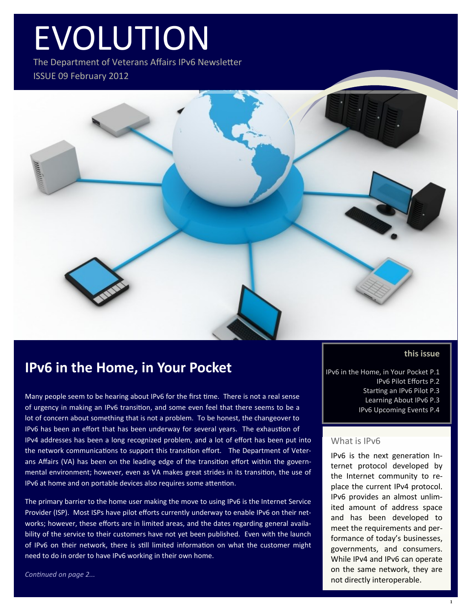# EVOLUTION

The Department of Veterans Affairs IPv6 Newsletter ISSUE 09 February 2012



### **IPv6 in the Home, in Your Pocket**

Many people seem to be hearing about IPv6 for the first time. There is not a real sense of urgency in making an IPv6 transition, and some even feel that there seems to be a lot of concern about something that is not a problem. To be honest, the changeover to IPv6 has been an effort that has been underway for several years. The exhaustion of IPv4 addresses has been a long recognized problem, and a lot of effort has been put into the network communications to support this transition effort. The Department of Veterans Affairs (VA) has been on the leading edge of the transition effort within the governmental environment; however, even as VA makes great strides in its transition, the use of IPv6 at home and on portable devices also requires some attention.

The primary barrier to the home user making the move to using IPv6 is the Internet Service Provider (ISP). Most ISPs have pilot efforts currently underway to enable IPv6 on their networks; however, these efforts are in limited areas, and the dates regarding general availability of the service to their customers have not yet been published. Even with the launch of IPv6 on their network, there is still limited information on what the customer might need to do in order to have IPv6 working in their own home.

*Continued on page 2...*

### **this issue**

IPv6 in the Home, in Your Pocket P.1 IPv6 Pilot Efforts P.2 Starting an IPv6 Pilot P.3 Learning About IPv6 P.3 IPv6 Upcoming Events P.4

### What is IPv6

IPv6 is the next generation Internet protocol developed by the Internet community to replace the current IPv4 protocol. IPv6 provides an almost unlimited amount of address space and has been developed to meet the requirements and performance of today's businesses, governments, and consumers. While IPv4 and IPv6 can operate on the same network, they are not directly interoperable.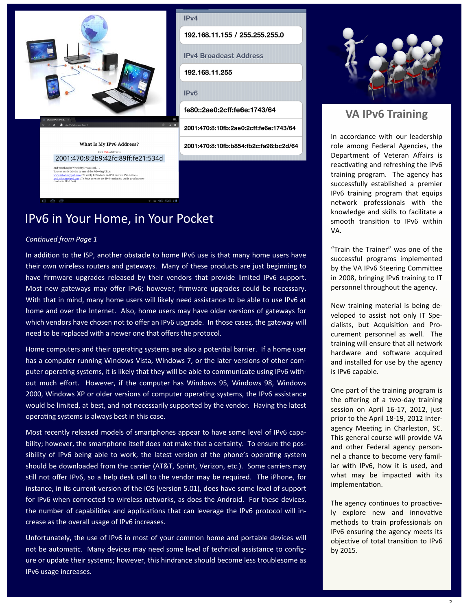

 $IPv4$ 192.168.11.155 / 255.255.255.0 **IPv4 Broadcast Address** 192.168.11.255  $IPv6$ fe80::2ae0:2cff:fe6e:1743/64 2001:470:8:10fb:2ae0:2cff:fe6e:1743/64 2001:470:8:10fb:b854:fb2c:fa98:bc2d/64

**Your IPv6 Address In** 2001:470:8:2b9:42fc:89ff:fe21:534d

you thought WhattsMyIP was cool . . .<br>can reach this site by any of the following URLs:<br><u>w.whatismyipy6.com</u> : To verify DNS selects an IPv6 over an IPv4 addres<br><u>w.whatismyipy6.com</u> : To force access to the IPv6 version (t

What Is My IPv6 Address?

IPv6 in Your Home, in Your Pocket

#### *Continued from Page 1*

In addition to the ISP, another obstacle to home IPv6 use is that many home users have their own wireless routers and gateways. Many of these products are just beginning to have firmware upgrades released by their vendors that provide limited IPv6 support. Most new gateways may offer IPv6; however, firmware upgrades could be necessary. With that in mind, many home users will likely need assistance to be able to use IPv6 at home and over the Internet. Also, home users may have older versions of gateways for which vendors have chosen not to offer an IPv6 upgrade. In those cases, the gateway will need to be replaced with a newer one that offers the protocol.

Home computers and their operating systems are also a potential barrier. If a home user has a computer running Windows Vista, Windows 7, or the later versions of other computer operating systems, it is likely that they will be able to communicate using IPv6 without much effort. However, if the computer has Windows 95, Windows 98, Windows 2000, Windows XP or older versions of computer operating systems, the IPv6 assistance would be limited, at best, and not necessarily supported by the vendor. Having the latest operating systems is always best in this case.

Most recently released models of smartphones appear to have some level of IPv6 capability; however, the smartphone itself does not make that a certainty. To ensure the possibility of IPv6 being able to work, the latest version of the phone's operating system should be downloaded from the carrier (AT&T, Sprint, Verizon, etc.). Some carriers may still not offer IPv6, so a help desk call to the vendor may be required. The iPhone, for instance, in its current version of the iOS (version 5.01), does have some level of support for IPv6 when connected to wireless networks, as does the Android. For these devices, the number of capabilities and applications that can leverage the IPv6 protocol will increase as the overall usage of IPv6 increases.

Unfortunately, the use of IPv6 in most of your common home and portable devices will not be automatic. Many devices may need some level of technical assistance to configure or update their systems; however, this hindrance should become less troublesome as IPv6 usage increases.



### **VA IPv6 Training**

In accordance with our leadership role among Federal Agencies, the Department of Veteran Affairs is reactivating and refreshing the IPv6 training program. The agency has successfully established a premier IPv6 training program that equips network professionals with the knowledge and skills to facilitate a smooth transition to IPv6 within VA.

"Train the Trainer" was one of the successful programs implemented by the VA IPv6 Steering Committee in 2008, bringing IPv6 training to IT personnel throughout the agency.

New training material is being developed to assist not only IT Specialists, but Acquisition and Procurement personnel as well. The training will ensure that all network hardware and software acquired and installed for use by the agency is IPv6 capable.

One part of the training program is the offering of a two-day training session on April 16-17, 2012, just prior to the April 18-19, 2012 Interagency Meeting in Charleston, SC. This general course will provide VA and other Federal agency personnel a chance to become very familiar with IPv6, how it is used, and what may be impacted with its implementation.

The agency continues to proactively explore new and innovative methods to train professionals on IPv6 ensuring the agency meets its objective of total transition to IPv6 by 2015.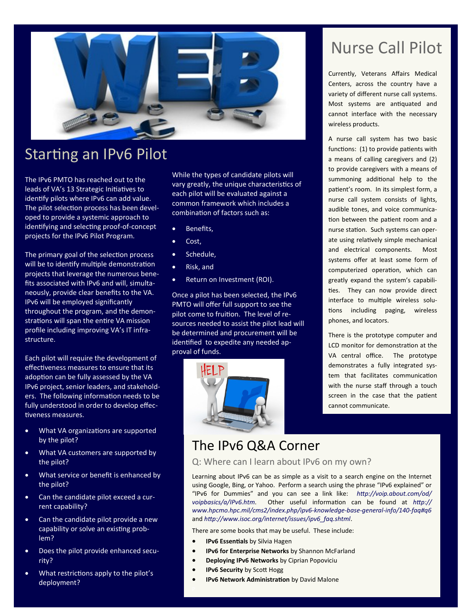

# Starting an IPv6 Pilot

The IPv6 PMTO has reached out to the leads of VA's 13 Strategic Initiatives to identify pilots where IPv6 can add value. The pilot selection process has been developed to provide a systemic approach to identifying and selecting proof-of-concept projects for the IPv6 Pilot Program.

The primary goal of the selection process will be to identify multiple demonstration projects that leverage the numerous benefits associated with IPv6 and will, simultaneously, provide clear benefits to the VA. IPv6 will be employed significantly throughout the program, and the demonstrations will span the entire VA mission profile including improving VA's IT infrastructure.

Each pilot will require the development of effectiveness measures to ensure that its adoption can be fully assessed by the VA IPv6 project, senior leaders, and stakeholders. The following information needs to be fully understood in order to develop effectiveness measures.

- What VA organizations are supported by the pilot?
- What VA customers are supported by the pilot?
- What service or benefit is enhanced by the pilot?
- Can the candidate pilot exceed a current capability?
- Can the candidate pilot provide a new capability or solve an existing problem?
- Does the pilot provide enhanced security?
- What restrictions apply to the pilot's deployment?

While the types of candidate pilots will vary greatly, the unique characteristics of each pilot will be evaluated against a common framework which includes a combination of factors such as:

- **•** Benefits,
- Cost,
- Schedule,
- Risk, and
- Return on Investment (ROI).

Once a pilot has been selected, the IPv6 PMTO will offer full support to see the pilot come to fruition. The level of resources needed to assist the pilot lead will be determined and procurement will be identified to expedite any needed approval of funds.



# Nurse Call Pilot

Currently, Veterans Affairs Medical Centers, across the country have a variety of different nurse call systems. Most systems are antiquated and cannot interface with the necessary wireless products.

A nurse call system has two basic functions: (1) to provide patients with a means of calling caregivers and (2) to provide caregivers with a means of summoning additional help to the patient's room. In its simplest form, a nurse call system consists of lights, audible tones, and voice communication between the patient room and a nurse station. Such systems can operate using relatively simple mechanical and electrical components. Most systems offer at least some form of computerized operation, which can greatly expand the system's capabilities. They can now provide direct interface to multiple wireless solutions including paging, wireless phones, and locators.

There is the prototype computer and LCD monitor for demonstration at the VA central office. The prototype demonstrates a fully integrated system that facilitates communication with the nurse staff through a touch screen in the case that the patient cannot communicate.

## The IPv6 Q&A Corner

### Q: Where can I learn about IPv6 on my own?

Learning about IPv6 can be as simple as a visit to a search engine on the Internet using Google, Bing, or Yahoo. Perform a search using the phrase "IPv6 explained" or "IPv6 for Dummies" and you can see a link like: *http://voip.about.com/od/ voipbasics/a/IPv6.htm*. Other useful information can be found at *http:// www.hpcmo.hpc.mil/cms2/index.php/ipv6-knowledge-base-general-info/140-faq#q6* and *http://www.isoc.org/internet/issues/ipv6\_faq.shtml*.

There are some books that may be useful. These include:

- **IPv6 Essentials** by Silvia Hagen
- **IPv6 for Enterprise Networks** by Shannon McFarland
- **Deploying IPv6 Networks** by Ciprian Popoviciu
- **IPv6 Security** by Scott Hogg
- **IPv6 Network Administration** by David Malone